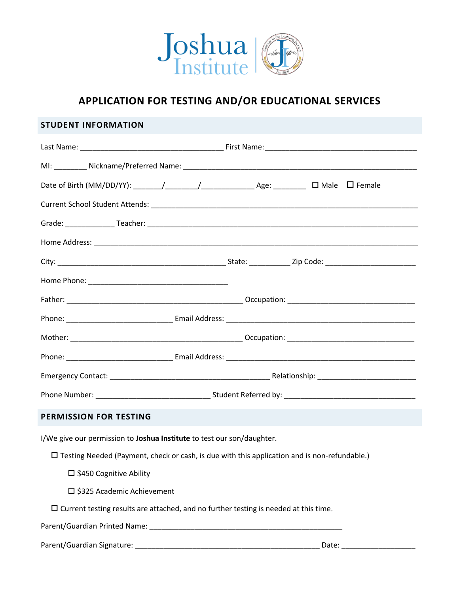

# **APPLICATION FOR TESTING AND/OR EDUCATIONAL SERVICES**

### **STUDENT INFORMATION**

| <b>PERMISSION FOR TESTING</b>                                                                       |  |  |  |  |  |
|-----------------------------------------------------------------------------------------------------|--|--|--|--|--|
| I/We give our permission to Joshua Institute to test our son/daughter.                              |  |  |  |  |  |
| $\Box$ Testing Needed (Payment, check or cash, is due with this application and is non-refundable.) |  |  |  |  |  |
| $\square$ \$450 Cognitive Ability                                                                   |  |  |  |  |  |
| □ \$325 Academic Achievement                                                                        |  |  |  |  |  |
| $\square$ Current testing results are attached, and no further testing is needed at this time.      |  |  |  |  |  |
|                                                                                                     |  |  |  |  |  |

Parent/Guardian Signature: \_\_\_\_\_\_\_\_\_\_\_\_\_\_\_\_\_\_\_\_\_\_\_\_\_\_\_\_\_\_\_\_\_\_\_\_\_\_\_\_\_\_\_\_\_ Date: \_\_\_\_\_\_\_\_\_\_\_\_\_\_\_\_\_\_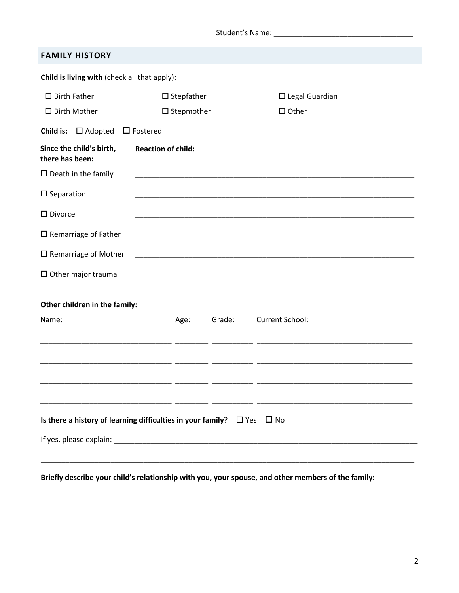Student's Name: \_\_\_\_\_\_\_\_\_\_\_\_\_

|  | <b>FAMILY HISTORY</b> |  |
|--|-----------------------|--|
|  |                       |  |

| Child is living with (check all that apply):                                     |                           |        |                                                                                                                                                                                                                                      |  |
|----------------------------------------------------------------------------------|---------------------------|--------|--------------------------------------------------------------------------------------------------------------------------------------------------------------------------------------------------------------------------------------|--|
| $\square$ Birth Father                                                           | $\square$ Stepfather      |        | $\square$ Legal Guardian                                                                                                                                                                                                             |  |
| $\square$ Birth Mother                                                           | $\square$ Stepmother      |        |                                                                                                                                                                                                                                      |  |
| Child is: $\Box$ Adopted                                                         | $\Box$ Fostered           |        |                                                                                                                                                                                                                                      |  |
| Since the child's birth,<br>there has been:                                      | <b>Reaction of child:</b> |        |                                                                                                                                                                                                                                      |  |
| $\square$ Death in the family                                                    |                           |        | <u> 1989 - Johann John Stoff, deutscher Stoffen und der Stoffen und der Stoffen und der Stoffen und der Stoffen</u>                                                                                                                  |  |
| $\square$ Separation                                                             |                           |        |                                                                                                                                                                                                                                      |  |
| $\square$ Divorce                                                                |                           |        |                                                                                                                                                                                                                                      |  |
| $\square$ Remarriage of Father                                                   |                           |        |                                                                                                                                                                                                                                      |  |
| $\square$ Remarriage of Mother                                                   |                           |        |                                                                                                                                                                                                                                      |  |
| $\Box$ Other major trauma                                                        |                           |        |                                                                                                                                                                                                                                      |  |
| Other children in the family:                                                    |                           |        |                                                                                                                                                                                                                                      |  |
| Name:                                                                            | Age:                      | Grade: | Current School:                                                                                                                                                                                                                      |  |
|                                                                                  |                           |        | <u> 1989 - Johann Johann Harry Harry Harry Harry Harry Harry Harry Harry Harry Harry Harry Harry Harry Harry Harry Harry Harry Harry Harry Harry Harry Harry Harry Harry Harry Harry Harry Harry Harry Harry Harry Harry Harry H</u> |  |
|                                                                                  |                           |        |                                                                                                                                                                                                                                      |  |
|                                                                                  |                           |        |                                                                                                                                                                                                                                      |  |
|                                                                                  | _______________           |        |                                                                                                                                                                                                                                      |  |
|                                                                                  |                           |        |                                                                                                                                                                                                                                      |  |
| Is there a history of learning difficulties in your family? $\Box$ Yes $\Box$ No |                           |        |                                                                                                                                                                                                                                      |  |
|                                                                                  |                           |        |                                                                                                                                                                                                                                      |  |
|                                                                                  |                           |        |                                                                                                                                                                                                                                      |  |
|                                                                                  |                           |        | Briefly describe your child's relationship with you, your spouse, and other members of the family:                                                                                                                                   |  |
|                                                                                  |                           |        |                                                                                                                                                                                                                                      |  |
|                                                                                  |                           |        | <u> 1989 - Johann Stoff, deutscher Stoff, der Stoff, der Stoff, der Stoff, der Stoff, der Stoff, der Stoff, der S</u>                                                                                                                |  |
|                                                                                  |                           |        |                                                                                                                                                                                                                                      |  |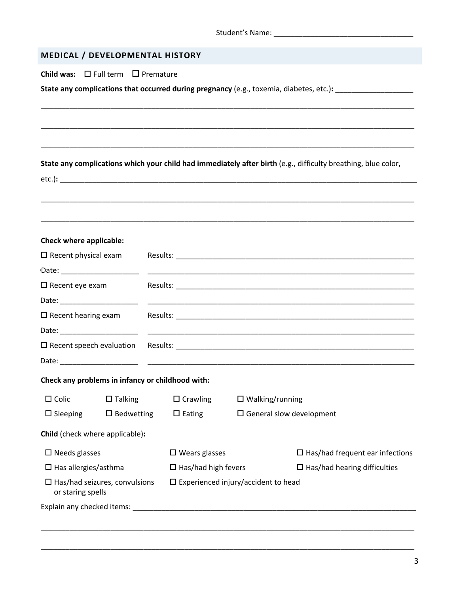## **MEDICAL / DEVELOPMENTAL HISTORY**

**Child was:** □ Full term □ Premature

| State any complications that occurred during pregnancy (e.g., toxemia, diabetes, etc.): |  |
|-----------------------------------------------------------------------------------------|--|
|-----------------------------------------------------------------------------------------|--|

**State any complications which your child had immediately after birth** (e.g., difficulty breathing, blue color,

\_\_\_\_\_\_\_\_\_\_\_\_\_\_\_\_\_\_\_\_\_\_\_\_\_\_\_\_\_\_\_\_\_\_\_\_\_\_\_\_\_\_\_\_\_\_\_\_\_\_\_\_\_\_\_\_\_\_\_\_\_\_\_\_\_\_\_\_\_\_\_\_\_\_\_\_\_\_\_\_\_\_\_\_\_\_\_\_\_\_\_

\_\_\_\_\_\_\_\_\_\_\_\_\_\_\_\_\_\_\_\_\_\_\_\_\_\_\_\_\_\_\_\_\_\_\_\_\_\_\_\_\_\_\_\_\_\_\_\_\_\_\_\_\_\_\_\_\_\_\_\_\_\_\_\_\_\_\_\_\_\_\_\_\_\_\_\_\_\_\_\_\_\_\_\_\_\_\_\_\_\_\_

\_\_\_\_\_\_\_\_\_\_\_\_\_\_\_\_\_\_\_\_\_\_\_\_\_\_\_\_\_\_\_\_\_\_\_\_\_\_\_\_\_\_\_\_\_\_\_\_\_\_\_\_\_\_\_\_\_\_\_\_\_\_\_\_\_\_\_\_\_\_\_\_\_\_\_\_\_\_\_\_\_\_\_\_\_\_\_\_\_\_\_

|                                                              |                   |                                               |                 |                                           | State any complications which your child had immediately after birth (e.g., difficulty breathing, blue color,                                                                                                                 |
|--------------------------------------------------------------|-------------------|-----------------------------------------------|-----------------|-------------------------------------------|-------------------------------------------------------------------------------------------------------------------------------------------------------------------------------------------------------------------------------|
|                                                              |                   |                                               |                 |                                           |                                                                                                                                                                                                                               |
| <b>Check where applicable:</b>                               |                   |                                               |                 |                                           |                                                                                                                                                                                                                               |
| $\square$ Recent physical exam                               |                   |                                               |                 |                                           |                                                                                                                                                                                                                               |
| Date: ______________________                                 |                   |                                               |                 |                                           | <u> 1989 - Johann John Stoff, deutscher Stoffen und der Stoffen und der Stoffen und der Stoffen und der Stoffen u</u>                                                                                                         |
| $\Box$ Recent eye exam                                       |                   |                                               |                 |                                           |                                                                                                                                                                                                                               |
| Date: _____________________                                  |                   |                                               |                 |                                           |                                                                                                                                                                                                                               |
| $\square$ Recent hearing exam                                |                   |                                               |                 |                                           |                                                                                                                                                                                                                               |
| Date: ________________________                               |                   |                                               |                 |                                           |                                                                                                                                                                                                                               |
| $\square$ Recent speech evaluation                           |                   |                                               |                 |                                           | Results: Note of the contract of the contract of the contract of the contract of the contract of the contract of the contract of the contract of the contract of the contract of the contract of the contract of the contract |
|                                                              |                   |                                               |                 |                                           |                                                                                                                                                                                                                               |
| Check any problems in infancy or childhood with:             |                   |                                               |                 |                                           |                                                                                                                                                                                                                               |
| $\Box$ Colic<br>$\Box$ Talking                               |                   |                                               | $\Box$ Crawling |                                           | $\square$ Walking/running                                                                                                                                                                                                     |
| $\square$ Sleeping                                           | $\Box$ Bedwetting | $\Box$ Eating                                 |                 |                                           | $\square$ General slow development                                                                                                                                                                                            |
| Child (check where applicable):                              |                   |                                               |                 |                                           |                                                                                                                                                                                                                               |
| $\square$ Needs glasses                                      |                   | $\square$ Wears glasses                       |                 | $\square$ Has/had frequent ear infections |                                                                                                                                                                                                                               |
| $\Box$ Has allergies/asthma                                  |                   | $\Box$ Has/had high fevers                    |                 | $\Box$ Has/had hearing difficulties       |                                                                                                                                                                                                                               |
| $\square$ Has/had seizures, convulsions<br>or staring spells |                   | $\square$ Experienced injury/accident to head |                 |                                           |                                                                                                                                                                                                                               |
|                                                              |                   |                                               |                 |                                           |                                                                                                                                                                                                                               |
|                                                              |                   |                                               |                 |                                           |                                                                                                                                                                                                                               |

\_\_\_\_\_\_\_\_\_\_\_\_\_\_\_\_\_\_\_\_\_\_\_\_\_\_\_\_\_\_\_\_\_\_\_\_\_\_\_\_\_\_\_\_\_\_\_\_\_\_\_\_\_\_\_\_\_\_\_\_\_\_\_\_\_\_\_\_\_\_\_\_\_\_\_\_\_\_\_\_\_\_\_\_\_\_\_\_\_\_\_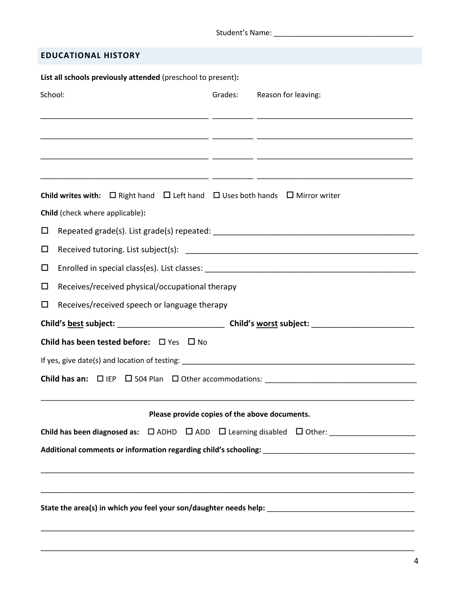| <b>EDUCATIONAL HISTORY</b>                                                                                                                                                                                                          |  |  |  |  |  |  |
|-------------------------------------------------------------------------------------------------------------------------------------------------------------------------------------------------------------------------------------|--|--|--|--|--|--|
| List all schools previously attended (preschool to present):                                                                                                                                                                        |  |  |  |  |  |  |
| School:<br>Grades:<br>Reason for leaving:                                                                                                                                                                                           |  |  |  |  |  |  |
|                                                                                                                                                                                                                                     |  |  |  |  |  |  |
|                                                                                                                                                                                                                                     |  |  |  |  |  |  |
|                                                                                                                                                                                                                                     |  |  |  |  |  |  |
|                                                                                                                                                                                                                                     |  |  |  |  |  |  |
| <b>Child writes with:</b> $\Box$ Right hand $\Box$ Left hand $\Box$ Uses both hands $\Box$ Mirror writer                                                                                                                            |  |  |  |  |  |  |
| Child (check where applicable):                                                                                                                                                                                                     |  |  |  |  |  |  |
| □<br>Repeated grade(s). List grade(s) repeated: National Section of the set of the set of the set of the set of the set of the set of the set of the set of the set of the set of the set of the set of the set of the set of the s |  |  |  |  |  |  |
| □                                                                                                                                                                                                                                   |  |  |  |  |  |  |
| $\Box$                                                                                                                                                                                                                              |  |  |  |  |  |  |
| $\Box$<br>Receives/received physical/occupational therapy                                                                                                                                                                           |  |  |  |  |  |  |
| □<br>Receives/received speech or language therapy                                                                                                                                                                                   |  |  |  |  |  |  |
|                                                                                                                                                                                                                                     |  |  |  |  |  |  |
| Child has been tested before: $\Box$ Yes $\Box$ No                                                                                                                                                                                  |  |  |  |  |  |  |
|                                                                                                                                                                                                                                     |  |  |  |  |  |  |
|                                                                                                                                                                                                                                     |  |  |  |  |  |  |
| ,我们也不能在这里的时候,我们也不能在这里的时候,我们也不能会在这里的时候,我们也不能会在这里的时候,我们也不能会在这里的时候,我们也不能会在这里的时候,我们也                                                                                                                                                    |  |  |  |  |  |  |
| Please provide copies of the above documents.                                                                                                                                                                                       |  |  |  |  |  |  |
|                                                                                                                                                                                                                                     |  |  |  |  |  |  |
|                                                                                                                                                                                                                                     |  |  |  |  |  |  |
|                                                                                                                                                                                                                                     |  |  |  |  |  |  |
| ,我们也不能在这里的时候,我们也不能在这里的时候,我们也不能不能不能会不能会不能会不能会不能会不能会。""我们的人们,我们也不能会不能会不能会不能会不能会不能会                                                                                                                                                    |  |  |  |  |  |  |
|                                                                                                                                                                                                                                     |  |  |  |  |  |  |
|                                                                                                                                                                                                                                     |  |  |  |  |  |  |

\_\_\_\_\_\_\_\_\_\_\_\_\_\_\_\_\_\_\_\_\_\_\_\_\_\_\_\_\_\_\_\_\_\_\_\_\_\_\_\_\_\_\_\_\_\_\_\_\_\_\_\_\_\_\_\_\_\_\_\_\_\_\_\_\_\_\_\_\_\_\_\_\_\_\_\_\_\_\_\_\_\_\_\_\_\_\_\_\_\_\_